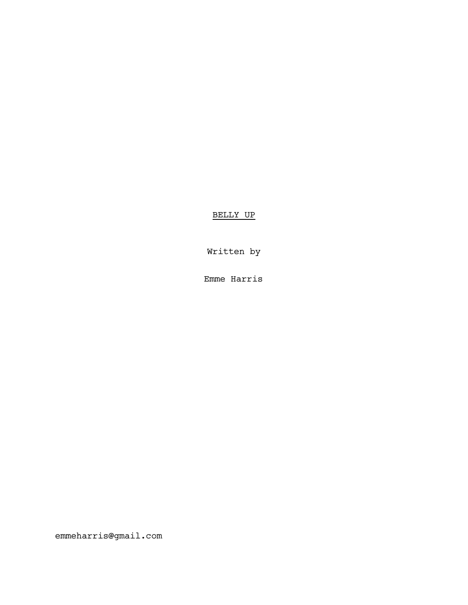BELLY UP

Written by

Emme Harris

emmeharris@gmail.com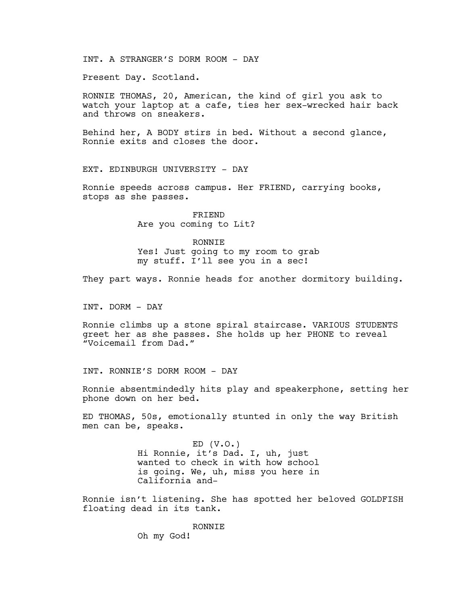INT. A STRANGER'S DORM ROOM - DAY

Present Day. Scotland.

RONNIE THOMAS, 20, American, the kind of girl you ask to watch your laptop at a cafe, ties her sex-wrecked hair back and throws on sneakers.

Behind her, A BODY stirs in bed. Without a second glance, Ronnie exits and closes the door.

EXT. EDINBURGH UNIVERSITY - DAY

Ronnie speeds across campus. Her FRIEND, carrying books, stops as she passes.

> FRIEND Are you coming to Lit?

RONNIE Yes! Just going to my room to grab my stuff. I'll see you in a sec!

They part ways. Ronnie heads for another dormitory building.

INT. DORM - DAY

Ronnie climbs up a stone spiral staircase. VARIOUS STUDENTS greet her as she passes. She holds up her PHONE to reveal "Voicemail from Dad."

INT. RONNIE'S DORM ROOM - DAY

Ronnie absentmindedly hits play and speakerphone, setting her phone down on her bed.

ED THOMAS, 50s, emotionally stunted in only the way British men can be, speaks.

> $ED (V.O.)$ Hi Ronnie, it's Dad. I, uh, just wanted to check in with how school is going. We, uh, miss you here in California and-

Ronnie isn't listening. She has spotted her beloved GOLDFISH floating dead in its tank.

> **RONNTE** Oh my God!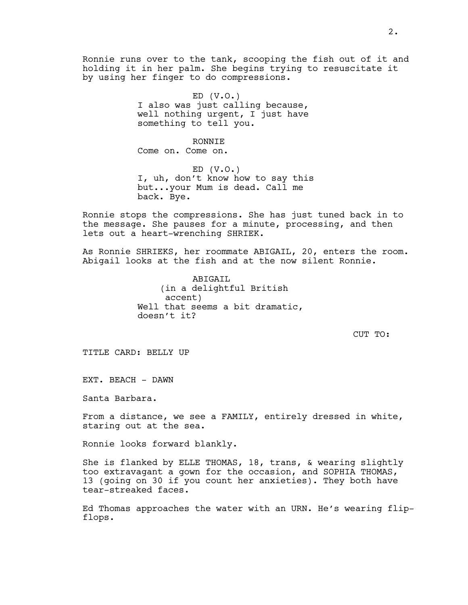Ronnie runs over to the tank, scooping the fish out of it and holding it in her palm. She begins trying to resuscitate it by using her finger to do compressions.

> $ED (V.O.)$ I also was just calling because, well nothing urgent, I just have something to tell you.

> > RONNIE

Come on. Come on.

 $ED (V.O.)$ I, uh, don't know how to say this but...your Mum is dead. Call me back. Bye.

Ronnie stops the compressions. She has just tuned back in to the message. She pauses for a minute, processing, and then lets out a heart-wrenching SHRIEK.

As Ronnie SHRIEKS, her roommate ABIGAIL, 20, enters the room. Abigail looks at the fish and at the now silent Ronnie.

> ABTGATL (in a delightful British accent) Well that seems a bit dramatic, doesn't it?

> > CUT TO:

TITLE CARD: BELLY UP

EXT. BEACH - DAWN

Santa Barbara.

From a distance, we see a FAMILY, entirely dressed in white, staring out at the sea.

Ronnie looks forward blankly.

She is flanked by ELLE THOMAS, 18, trans, & wearing slightly too extravagant a gown for the occasion, and SOPHIA THOMAS, 13 (going on 30 if you count her anxieties). They both have tear-streaked faces.

Ed Thomas approaches the water with an URN. He's wearing flipflops.